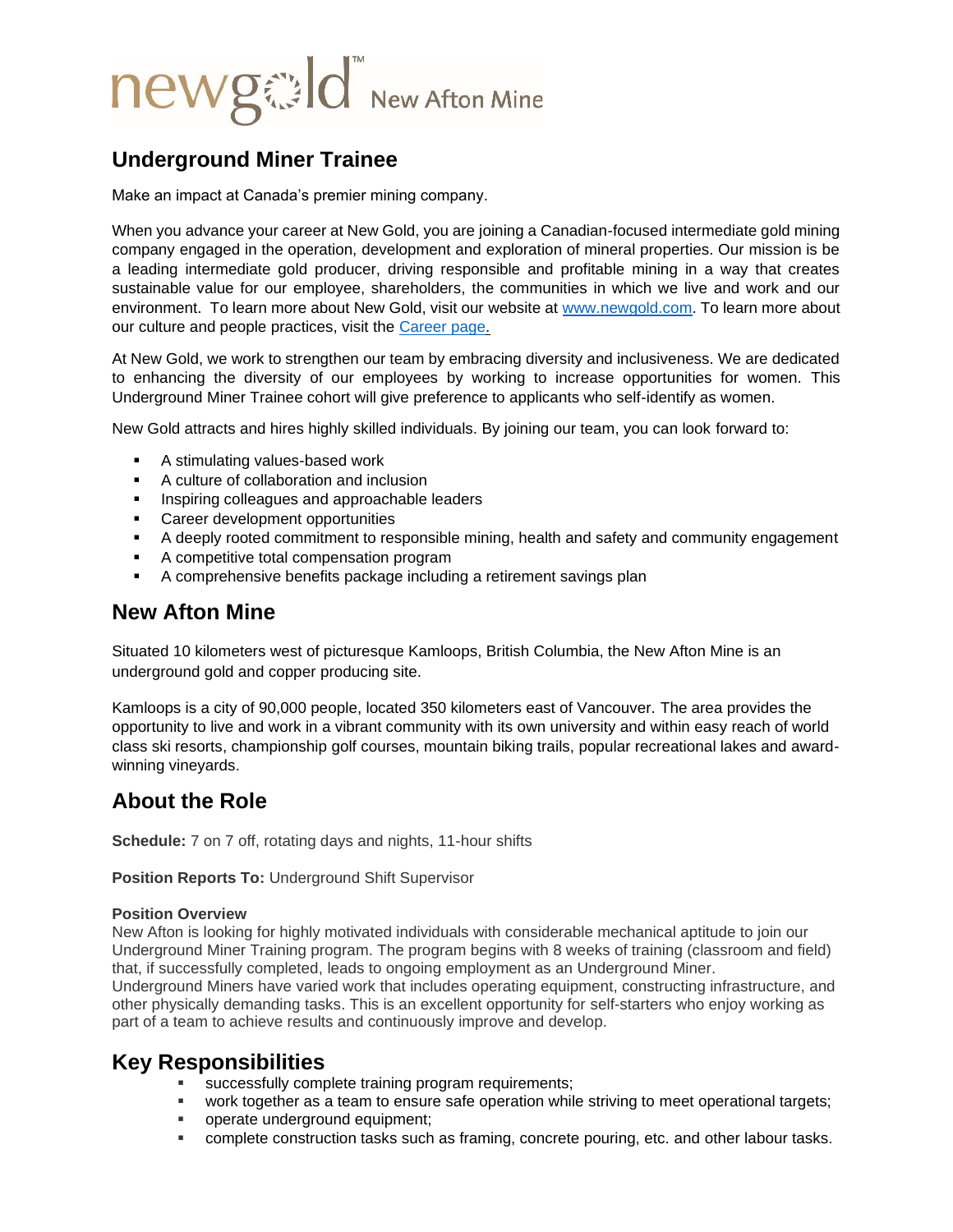# newged New Afton Mine

# **Underground Miner Trainee**

Make an impact at Canada's premier mining company.

When you advance your career at New Gold, you are joining a Canadian-focused intermediate gold mining company engaged in the operation, development and exploration of mineral properties. Our mission is be a leading intermediate gold producer, driving responsible and profitable mining in a way that creates sustainable value for our employee, shareholders, the communities in which we live and work and our environment. To learn more about New Gold, visit our website at [www.newgold.com.](http://www.newgold.com/) To learn more about our culture and people practices, visit the [Career page.](http://www.newgold.com/careers/default.aspx)

At New Gold, we work to strengthen our team by embracing diversity and inclusiveness. We are dedicated to enhancing the diversity of our employees by working to increase opportunities for women. This Underground Miner Trainee cohort will give preference to applicants who self-identify as women.

New Gold attracts and hires highly skilled individuals. By joining our team, you can look forward to:

- A stimulating values-based work
- A culture of collaboration and inclusion
- **EXEDER** Inspiring colleagues and approachable leaders
- Career development opportunities
- A deeply rooted commitment to responsible mining, health and safety and community engagement
- A competitive total compensation program
- A comprehensive benefits package including a retirement savings plan

### **New Afton Mine**

Situated 10 kilometers west of picturesque Kamloops, British Columbia, the New Afton Mine is an underground gold and copper producing site.

Kamloops is a city of 90,000 people, located 350 kilometers east of Vancouver. The area provides the opportunity to live and work in a vibrant community with its own university and within easy reach of world class ski resorts, championship golf courses, mountain biking trails, popular recreational lakes and awardwinning vineyards.

# **About the Role**

**Schedule:** 7 on 7 off, rotating days and nights, 11-hour shifts

**Position Reports To:** Underground Shift Supervisor

#### **Position Overview**

New Afton is looking for highly motivated individuals with considerable mechanical aptitude to join our Underground Miner Training program. The program begins with 8 weeks of training (classroom and field) that, if successfully completed, leads to ongoing employment as an Underground Miner. Underground Miners have varied work that includes operating equipment, constructing infrastructure, and other physically demanding tasks. This is an excellent opportunity for self-starters who enjoy working as part of a team to achieve results and continuously improve and develop.

## **Key Responsibilities**

- **EXECO SUCCESS FOULD COMPLETE TRAINING PROGRAM FIGUREM** SUCCESSIBLY:
- work together as a team to ensure safe operation while striving to meet operational targets;
- **•** operate underground equipment;
- complete construction tasks such as framing, concrete pouring, etc. and other labour tasks.